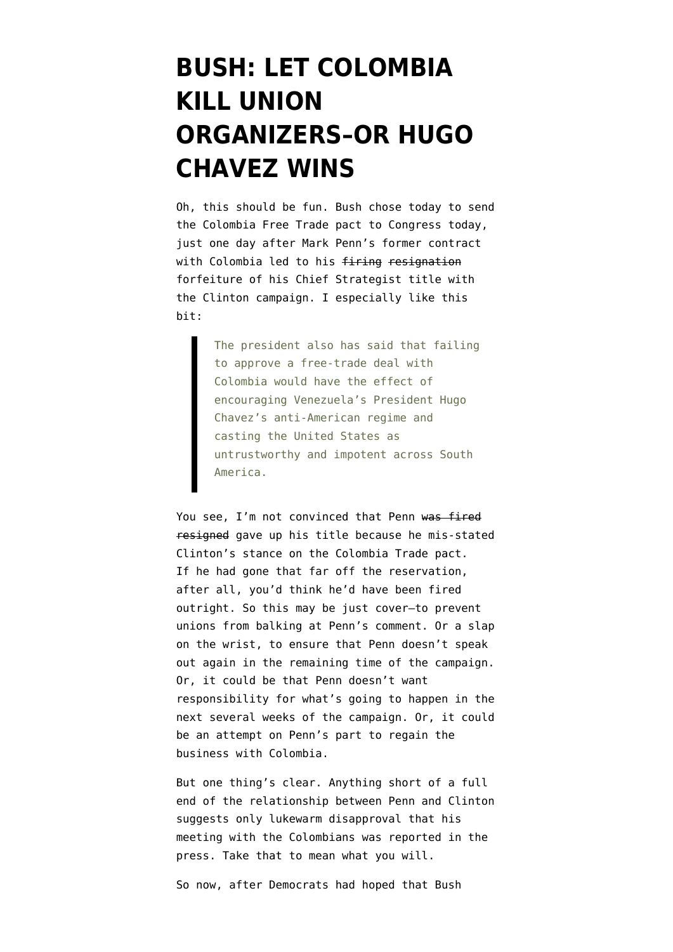## **[BUSH: LET COLOMBIA](https://www.emptywheel.net/2008/04/07/bush-let-colombia-kill-union-organizers-or-hugo-chavez-wins/) [KILL UNION](https://www.emptywheel.net/2008/04/07/bush-let-colombia-kill-union-organizers-or-hugo-chavez-wins/) [ORGANIZERS–OR HUGO](https://www.emptywheel.net/2008/04/07/bush-let-colombia-kill-union-organizers-or-hugo-chavez-wins/) [CHAVEZ WINS](https://www.emptywheel.net/2008/04/07/bush-let-colombia-kill-union-organizers-or-hugo-chavez-wins/)**

Oh, this should be fun. Bush chose today [to send](http://www.washingtonpost.com/wp-dyn/content/article/2008/04/07/AR2008040700789.html?hpid=topnews) [the Colombia Free Trade pact to Congress](http://www.washingtonpost.com/wp-dyn/content/article/2008/04/07/AR2008040700789.html?hpid=topnews) today, just one day after Mark Penn's former contract with Colombia led to his firing resignation forfeiture of his Chief Strategist title with the Clinton campaign. I especially like this bit:

> The president also has said that failing to approve a free-trade deal with Colombia would have the effect of encouraging Venezuela's President Hugo Chavez's anti-American regime and casting the United States as untrustworthy and impotent across South America.

You see. I'm not convinced that Penn was fired resigned gave up his title because he mis-stated Clinton's stance on the Colombia Trade pact. If he had gone that far off the reservation, after all, you'd think he'd have been fired outright. So this may be just cover–to prevent unions from balking at Penn's comment. Or a slap on the wrist, to ensure that Penn doesn't speak out again in the remaining time of the campaign. Or, it could be that Penn doesn't want responsibility for what's going to happen in the next several weeks of the campaign. Or, it could be an attempt on Penn's part to regain the business with Colombia.

But one thing's clear. Anything short of a full end of the relationship between Penn and Clinton suggests only lukewarm disapproval that his [meeting with the Colombians was reported in the](http://www.huffingtonpost.com/2008/04/04/mark-penn-apologizes-for_n_95090.html) [press](http://www.huffingtonpost.com/2008/04/04/mark-penn-apologizes-for_n_95090.html). Take that to mean what you will.

So now, after Democrats had hoped that Bush